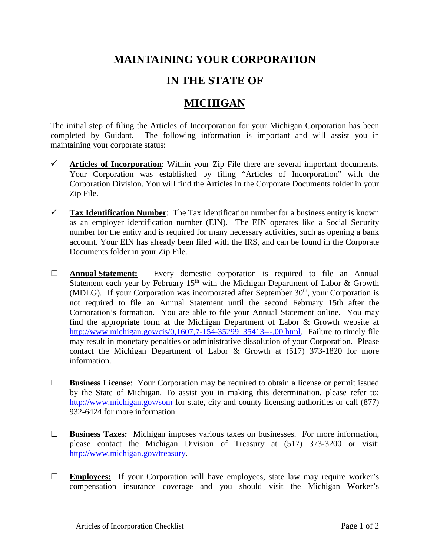## **MAINTAINING YOUR CORPORATION**

## **IN THE STATE OF**

## **MICHIGAN**

The initial step of filing the Articles of Incorporation for your Michigan Corporation has been completed by Guidant. The following information is important and will assist you in maintaining your corporate status:

- $\checkmark$  Articles of Incorporation: Within your Zip File there are several important documents. Your Corporation was established by filing "Articles of Incorporation" with the Corporation Division. You will find the Articles in the Corporate Documents folder in your Zip File.
- **Tax Identification Number**: The Tax Identification number for a business entity is known as an employer identification number (EIN). The EIN operates like a Social Security number for the entity and is required for many necessary activities, such as opening a bank account. Your EIN has already been filed with the IRS, and can be found in the Corporate Documents folder in your Zip File.
- **□ Annual Statement:** Every domestic corporation is required to file an Annual Statement each year by February  $15<sup>th</sup>$  with the Michigan Department of Labor & Growth  $(MDLG)$ . If your Corporation was incorporated after September 30<sup>th</sup>, your Corporation is not required to file an Annual Statement until the second February 15th after the Corporation's formation. You are able to file your Annual Statement online. You may find the appropriate form at the Michigan Department of Labor & Growth website at http://www.michigan.gov/cis/0,1607.7-154-35299\_35413---,00.html. Failure to timely file may result in monetary penalties or administrative dissolution of your Corporation. Please contact the Michigan Department of Labor & Growth at (517) 373-1820 for more information.
- **□ Business License**: Your Corporation may be required to obtain a license or permit issued by the State of Michigan. To assist you in making this determination, please refer to: <http://www.michigan.gov/som> for state, city and county licensing authorities or call (877) 932-6424 for more information.
- **□ Business Taxes:** Michigan imposes various taxes on businesses. For more information, please contact the Michigan Division of Treasury at (517) 373-3200 or visit: [http://www.michigan.gov/treasury.](http://www.michigan.gov/treasury)
- **□ Employees:** If your Corporation will have employees, state law may require worker's compensation insurance coverage and you should visit the Michigan Worker's